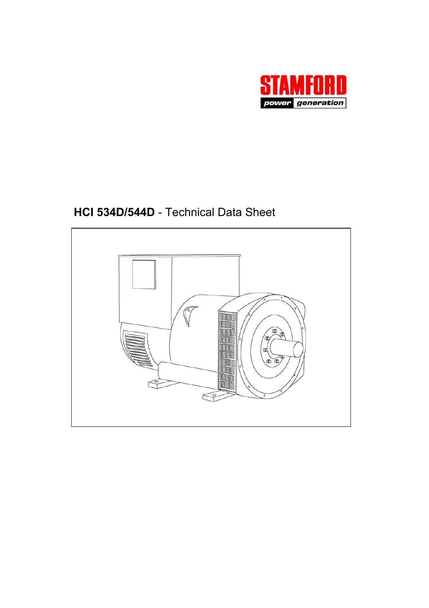

# **HCI 534D/544D** - Technical Data Sheet

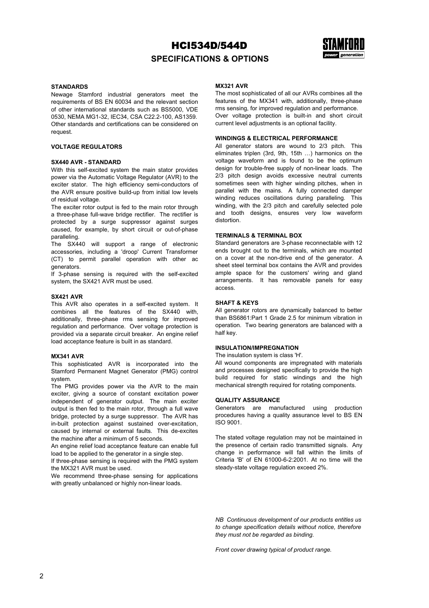

### **SPECIFICATIONS & OPTIONS**

#### **STANDARDS**

Newage Stamford industrial generators meet the requirements of BS EN 60034 and the relevant section of other international standards such as BS5000, VDE 0530, NEMA MG1-32, IEC34, CSA C22.2-100, AS1359. Other standards and certifications can be considered on request.

#### **VOLTAGE REGULATORS**

### **SX440 AVR - STANDARD**

With this self-excited system the main stator provides power via the Automatic Voltage Regulator (AVR) to the exciter stator. The high efficiency semi-conductors of the AVR ensure positive build-up from initial low levels of residual voltage.

The exciter rotor output is fed to the main rotor through a three-phase full-wave bridge rectifier. The rectifier is protected by a surge suppressor against surges caused, for example, by short circuit or out-of-phase paralleling.

The SX440 will support a range of electronic accessories, including a 'droop' Current Transformer (CT) to permit parallel operation with other ac generators.

If 3-phase sensing is required with the self-excited system, the SX421 AVR must be used.

### **SX421 AVR**

This AVR also operates in a self-excited system. It combines all the features of the SX440 with, additionally, three-phase rms sensing for improved regulation and performance. Over voltage protection is provided via a separate circuit breaker. An engine relief load acceptance feature is built in as standard.

#### **MX341 AVR**

This sophisticated AVR is incorporated into the Stamford Permanent Magnet Generator (PMG) control system.

The PMG provides power via the AVR to the main exciter, giving a source of constant excitation power independent of generator output. The main exciter output is then fed to the main rotor, through a full wave bridge, protected by a surge suppressor. The AVR has in-built protection against sustained over-excitation, caused by internal or external faults. This de-excites the machine after a minimum of 5 seconds.

An engine relief load acceptance feature can enable full load to be applied to the generator in a single step.

If three-phase sensing is required with the PMG system the MX321 AVR must be used.

We recommend three-phase sensing for applications with greatly unbalanced or highly non-linear loads.

### **MX321 AVR**

The most sophisticated of all our AVRs combines all the features of the MX341 with, additionally, three-phase rms sensing, for improved regulation and performance. Over voltage protection is built-in and short circuit current level adjustments is an optional facility.

#### **WINDINGS & ELECTRICAL PERFORMANCE**

All generator stators are wound to 2/3 pitch. This eliminates triplen (3rd, 9th, 15th …) harmonics on the voltage waveform and is found to be the optimum design for trouble-free supply of non-linear loads. The 2/3 pitch design avoids excessive neutral currents sometimes seen with higher winding pitches, when in parallel with the mains. A fully connected damper winding reduces oscillations during paralleling. This winding, with the 2/3 pitch and carefully selected pole and tooth designs, ensures very low waveform distortion.

#### **TERMINALS & TERMINAL BOX**

Standard generators are 3-phase reconnectable with 12 ends brought out to the terminals, which are mounted on a cover at the non-drive end of the generator. A sheet steel terminal box contains the AVR and provides ample space for the customers' wiring and gland arrangements. It has removable panels for easy access.

#### **SHAFT & KEYS**

All generator rotors are dynamically balanced to better than BS6861:Part 1 Grade 2.5 for minimum vibration in operation. Two bearing generators are balanced with a half key.

### **INSULATION/IMPREGNATION**

The insulation system is class 'H'.

All wound components are impregnated with materials and processes designed specifically to provide the high build required for static windings and the high mechanical strength required for rotating components.

### **QUALITY ASSURANCE**

Generators are manufactured using production procedures having a quality assurance level to BS EN ISO 9001.

The stated voltage regulation may not be maintained in the presence of certain radio transmitted signals. Any change in performance will fall within the limits of Criteria 'B' of EN 61000-6-2:2001. At no time will the steady-state voltage regulation exceed 2%.

*NB Continuous development of our products entitles us to change specification details without notice, therefore they must not be regarded as binding.* 

*Front cover drawing typical of product range.*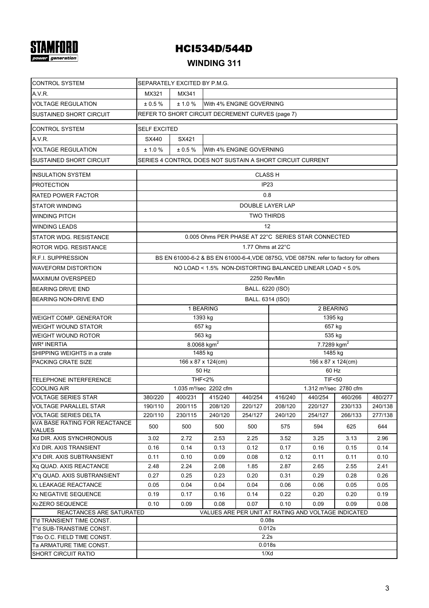# **STAMFORD**

# HCI534D/544D

# **WINDING 311**

| <b>CONTROL SYSTEM</b>                                                           | SEPARATELY EXCITED BY P.M.G.                              |                                                                                                                                                   |                                                    |                   |                      |                                    |                |                |  |  |  |  |
|---------------------------------------------------------------------------------|-----------------------------------------------------------|---------------------------------------------------------------------------------------------------------------------------------------------------|----------------------------------------------------|-------------------|----------------------|------------------------------------|----------------|----------------|--|--|--|--|
| A.V.R.                                                                          | MX321<br>MX341                                            |                                                                                                                                                   |                                                    |                   |                      |                                    |                |                |  |  |  |  |
| <b>VOLTAGE REGULATION</b>                                                       | ± 0.5 %<br>± 1.0 %<br>With 4% ENGINE GOVERNING            |                                                                                                                                                   |                                                    |                   |                      |                                    |                |                |  |  |  |  |
| SUSTAINED SHORT CIRCUIT                                                         | REFER TO SHORT CIRCUIT DECREMENT CURVES (page 7)          |                                                                                                                                                   |                                                    |                   |                      |                                    |                |                |  |  |  |  |
| <b>CONTROL SYSTEM</b>                                                           | <b>SELF EXCITED</b>                                       |                                                                                                                                                   |                                                    |                   |                      |                                    |                |                |  |  |  |  |
| A.V.R.                                                                          | SX440                                                     | SX421                                                                                                                                             |                                                    |                   |                      |                                    |                |                |  |  |  |  |
| <b>VOLTAGE REGULATION</b>                                                       | ± 1.0 %                                                   | ± 0.5%<br>With 4% ENGINE GOVERNING                                                                                                                |                                                    |                   |                      |                                    |                |                |  |  |  |  |
| SUSTAINED SHORT CIRCUIT                                                         | SERIES 4 CONTROL DOES NOT SUSTAIN A SHORT CIRCUIT CURRENT |                                                                                                                                                   |                                                    |                   |                      |                                    |                |                |  |  |  |  |
| <b>INSULATION SYSTEM</b>                                                        |                                                           |                                                                                                                                                   |                                                    | <b>CLASS H</b>    |                      |                                    |                |                |  |  |  |  |
| <b>PROTECTION</b>                                                               |                                                           |                                                                                                                                                   |                                                    | IP <sub>23</sub>  |                      |                                    |                |                |  |  |  |  |
| <b>RATED POWER FACTOR</b>                                                       |                                                           |                                                                                                                                                   |                                                    | 0.8               |                      |                                    |                |                |  |  |  |  |
| <b>STATOR WINDING</b>                                                           |                                                           |                                                                                                                                                   |                                                    | DOUBLE LAYER LAP  |                      |                                    |                |                |  |  |  |  |
| <b>WINDING PITCH</b>                                                            |                                                           |                                                                                                                                                   |                                                    | <b>TWO THIRDS</b> |                      |                                    |                |                |  |  |  |  |
| <b>WINDING LEADS</b>                                                            |                                                           |                                                                                                                                                   |                                                    | 12                |                      |                                    |                |                |  |  |  |  |
| STATOR WDG. RESISTANCE                                                          |                                                           |                                                                                                                                                   | 0.005 Ohms PER PHASE AT 22°C SERIES STAR CONNECTED |                   |                      |                                    |                |                |  |  |  |  |
| ROTOR WDG, RESISTANCE                                                           |                                                           |                                                                                                                                                   |                                                    | 1.77 Ohms at 22°C |                      |                                    |                |                |  |  |  |  |
| R.F.I. SUPPRESSION                                                              |                                                           |                                                                                                                                                   |                                                    |                   |                      |                                    |                |                |  |  |  |  |
| <b>WAVEFORM DISTORTION</b>                                                      |                                                           | BS EN 61000-6-2 & BS EN 61000-6-4, VDE 0875G, VDE 0875N. refer to factory for others<br>NO LOAD < 1.5% NON-DISTORTING BALANCED LINEAR LOAD < 5.0% |                                                    |                   |                      |                                    |                |                |  |  |  |  |
| <b>MAXIMUM OVERSPEED</b>                                                        |                                                           |                                                                                                                                                   |                                                    |                   |                      |                                    |                |                |  |  |  |  |
|                                                                                 | 2250 Rev/Min<br>BALL. 6220 (ISO)                          |                                                                                                                                                   |                                                    |                   |                      |                                    |                |                |  |  |  |  |
| <b>BEARING DRIVE END</b>                                                        |                                                           |                                                                                                                                                   |                                                    |                   |                      |                                    |                |                |  |  |  |  |
| <b>BEARING NON-DRIVE END</b>                                                    | BALL. 6314 (ISO)                                          |                                                                                                                                                   |                                                    |                   |                      |                                    |                |                |  |  |  |  |
|                                                                                 |                                                           |                                                                                                                                                   | 1 BEARING                                          |                   | 2 BEARING<br>1395 kg |                                    |                |                |  |  |  |  |
| <b>WEIGHT COMP. GENERATOR</b><br>WEIGHT WOUND STATOR                            |                                                           |                                                                                                                                                   | 1393 kg<br>657 kg                                  |                   |                      | 657 kg                             |                |                |  |  |  |  |
| WEIGHT WOUND ROTOR                                                              |                                                           |                                                                                                                                                   | 563 kg                                             |                   |                      | 535 kg                             |                |                |  |  |  |  |
| <b>WR<sup>2</sup> INERTIA</b>                                                   |                                                           |                                                                                                                                                   | 8.0068 kgm <sup>2</sup>                            |                   |                      | 7.7289 $kgm2$                      |                |                |  |  |  |  |
| SHIPPING WEIGHTS in a crate                                                     |                                                           |                                                                                                                                                   | 1485 kg                                            |                   |                      | 1485 kg                            |                |                |  |  |  |  |
| PACKING CRATE SIZE                                                              |                                                           |                                                                                                                                                   | 166 x 87 x 124(cm)                                 |                   |                      | 166 x 87 x 124(cm)                 |                |                |  |  |  |  |
|                                                                                 | 50 Hz<br>60 Hz                                            |                                                                                                                                                   |                                                    |                   |                      |                                    |                |                |  |  |  |  |
| TELEPHONE INTERFERENCE                                                          |                                                           |                                                                                                                                                   | <b>THF&lt;2%</b>                                   |                   | <b>TIF&lt;50</b>     |                                    |                |                |  |  |  |  |
| <b>COOLING AIR</b>                                                              |                                                           |                                                                                                                                                   | 1.035 m <sup>3</sup> /sec 2202 cfm                 |                   |                      | 1.312 m <sup>3</sup> /sec 2780 cfm |                |                |  |  |  |  |
| <b>VOLTAGE SERIES STAR</b>                                                      | 380/220                                                   | 400/231                                                                                                                                           | 415/240                                            | 440/254           | 416/240              | 440/254                            | 460/266        | 480/277        |  |  |  |  |
| <b>VOLTAGE PARALLEL STAR</b>                                                    | 190/110                                                   | 200/115                                                                                                                                           | 208/120                                            | 220/127           | 208/120              | 220/127                            | 230/133        | 240/138        |  |  |  |  |
| <b>VOLTAGE SERIES DELTA</b><br><b>KVA BASE RATING FOR REACTANCE</b>             | 220/110<br>500                                            | 230/115<br>500                                                                                                                                    | 240/120<br>500                                     | 254/127<br>500    | 240/120<br>575       | 254/127<br>594                     | 266/133<br>625 | 277/138<br>644 |  |  |  |  |
| <b>VALUES</b><br>Xd DIR. AXIS SYNCHRONOUS                                       | 3.02                                                      |                                                                                                                                                   | 2.53                                               | 2.25              |                      |                                    |                |                |  |  |  |  |
| X'd DIR. AXIS TRANSIENT                                                         | 0.16                                                      | 2.72<br>0.14                                                                                                                                      | 0.13                                               | 0.12              | 3.52<br>0.17         | 3.25<br>0.16                       | 3.13<br>0.15   | 2.96<br>0.14   |  |  |  |  |
| X"d DIR. AXIS SUBTRANSIENT                                                      | 0.11                                                      | 0.10                                                                                                                                              | 0.09                                               | 0.08              | 0.12                 | 0.11                               | 0.11           | 0.10           |  |  |  |  |
| Xq QUAD, AXIS REACTANCE                                                         | 2.48                                                      | 2.24                                                                                                                                              | 2.08                                               | 1.85              | 2.87                 | 2.65                               | 2.55           | 2.41           |  |  |  |  |
| X"g QUAD. AXIS SUBTRANSIENT                                                     | 0.27                                                      | 0.25                                                                                                                                              | 0.23                                               | 0.20              | 0.31                 | 0.29                               | 0.28           | 0.26           |  |  |  |  |
| <b>XL LEAKAGE REACTANCE</b>                                                     | 0.05                                                      | 0.04                                                                                                                                              | 0.04                                               | 0.04              | 0.06                 | 0.06                               | 0.05           | 0.05           |  |  |  |  |
| X <sub>2</sub> NEGATIVE SEQUENCE                                                | 0.19                                                      | 0.17                                                                                                                                              | 0.16                                               | 0.14              | 0.22                 | 0.20                               | 0.20           | 0.19           |  |  |  |  |
| X <sub>0</sub> ZERO SEQUENCE                                                    | 0.10                                                      | 0.09                                                                                                                                              | 0.08                                               | 0.07              | 0.10                 | 0.09                               | 0.09           | 0.08           |  |  |  |  |
| REACTANCES ARE SATURATED<br>VALUES ARE PER UNIT AT RATING AND VOLTAGE INDICATED |                                                           |                                                                                                                                                   |                                                    |                   |                      |                                    |                |                |  |  |  |  |
| T'd TRANSIENT TIME CONST.                                                       | 0.08 <sub>S</sub>                                         |                                                                                                                                                   |                                                    |                   |                      |                                    |                |                |  |  |  |  |
| T"d SUB-TRANSTIME CONST.                                                        | 0.012s                                                    |                                                                                                                                                   |                                                    |                   |                      |                                    |                |                |  |  |  |  |
| T'do O.C. FIELD TIME CONST.                                                     |                                                           |                                                                                                                                                   |                                                    | 2.2s              |                      |                                    |                |                |  |  |  |  |
| Ta ARMATURE TIME CONST.<br><b>SHORT CIRCUIT RATIO</b>                           | 0.018s                                                    |                                                                                                                                                   |                                                    |                   |                      |                                    |                |                |  |  |  |  |
|                                                                                 | 1/Xd                                                      |                                                                                                                                                   |                                                    |                   |                      |                                    |                |                |  |  |  |  |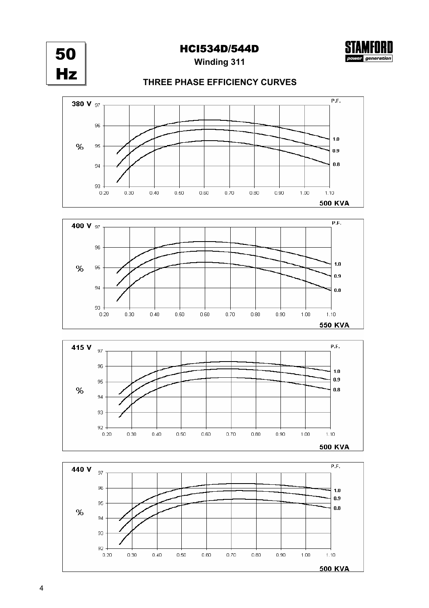50 Hz



**Winding 311**

### **THREE PHASE EFFICIENCY CURVES**







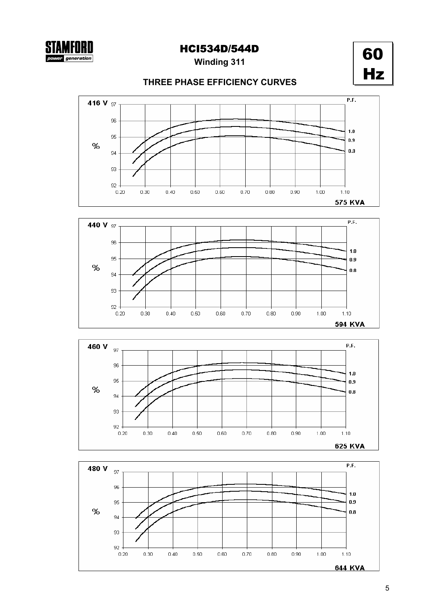5

# **THREE PHASE EFFICIENCY CURVES**

**Winding 311** HCI534D/544D









**STAMFORD** 

generation

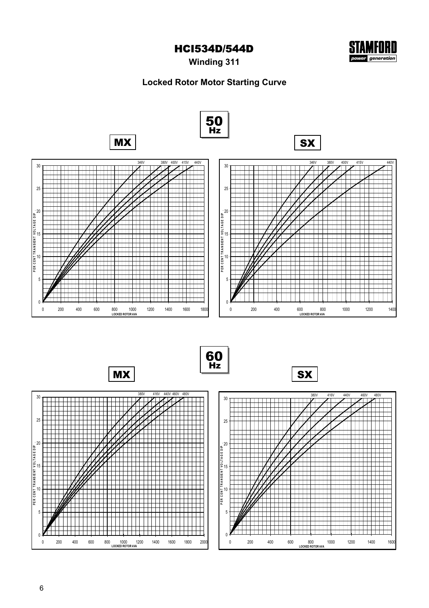

**Winding 311**

## **Locked Rotor Motor Starting Curve**

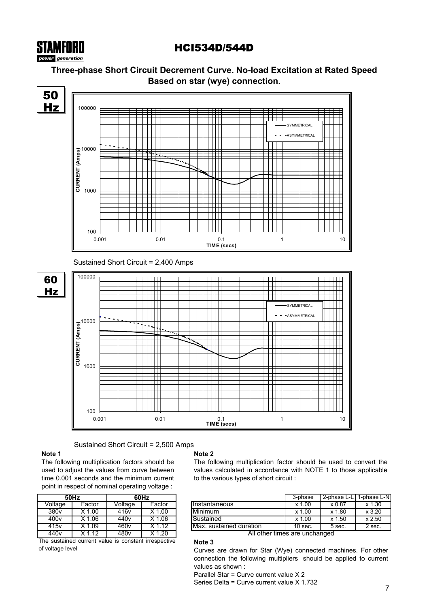

### **Three-phase Short Circuit Decrement Curve. No-load Excitation at Rated Speed Based on star (wye) connection.**



### Sustained Short Circuit = 2,500 Amps

### **Note 1**

The following multiplication factors should be used to adjust the values from curve between time 0.001 seconds and the minimum current point in respect of nominal operating voltage :

|                  | 50Hz     | 60Hz             |                     |  |  |  |  |  |
|------------------|----------|------------------|---------------------|--|--|--|--|--|
| Voltage          | Factor   | Voltage          | Factor              |  |  |  |  |  |
| 380 <sub>v</sub> | $X$ 1.00 | 416 <sub>v</sub> | $X$ 1.00            |  |  |  |  |  |
| 400v             | $X$ 1.06 | 440v             | $X$ 1.06            |  |  |  |  |  |
| 415v             | X 1.09   | 460v             | X 1.12              |  |  |  |  |  |
| 440 <sub>v</sub> | X 1 12   | 480v             | $\overline{X}$ 1.20 |  |  |  |  |  |

The sustained current value is constant irrespective of voltage level

### **Note 2**

**Note 3**

The following multiplication factor should be used to convert the values calculated in accordance with NOTE 1 to those applicable to the various types of short circuit :

| 50Hz                   |          | 60Hz          |                     |                                 | 3-phase    | 2-phase L-L | 1-phase L-N <b>I</b> |
|------------------------|----------|---------------|---------------------|---------------------------------|------------|-------------|----------------------|
| Voltage                | Factor   | Voltage       | Factor              | <b>Instantaneous</b>            | .00<br>x 1 | x 0.87      | x 1.30               |
| 380 <sub>v</sub>       | .00      | 416v          | .00                 | Minimum                         | .00<br>x 1 | x 1.80      | x3.20                |
| 400v                   | .06      | 440v          | .06                 | Sustained                       | .00<br>x 1 | x 1.50      | x 2.50               |
| 415v                   | .09      | 460v          | .12                 | <b>IMax.</b> sustained duration | $10$ sec.  | 5 sec.      | 2 sec.               |
| $\cdot$ $\cdot$ $\sim$ | $\cdots$ | $\sim$ $\sim$ | $\sqrt{1 - \alpha}$ | $21 - 11$                       |            |             |                      |

All other times are unchanged

Curves are drawn for Star (Wye) connected machines. For other connection the following multipliers should be applied to current values as shown :

Parallel Star = Curve current value X 2

Series Delta = Curve current value X 1.732